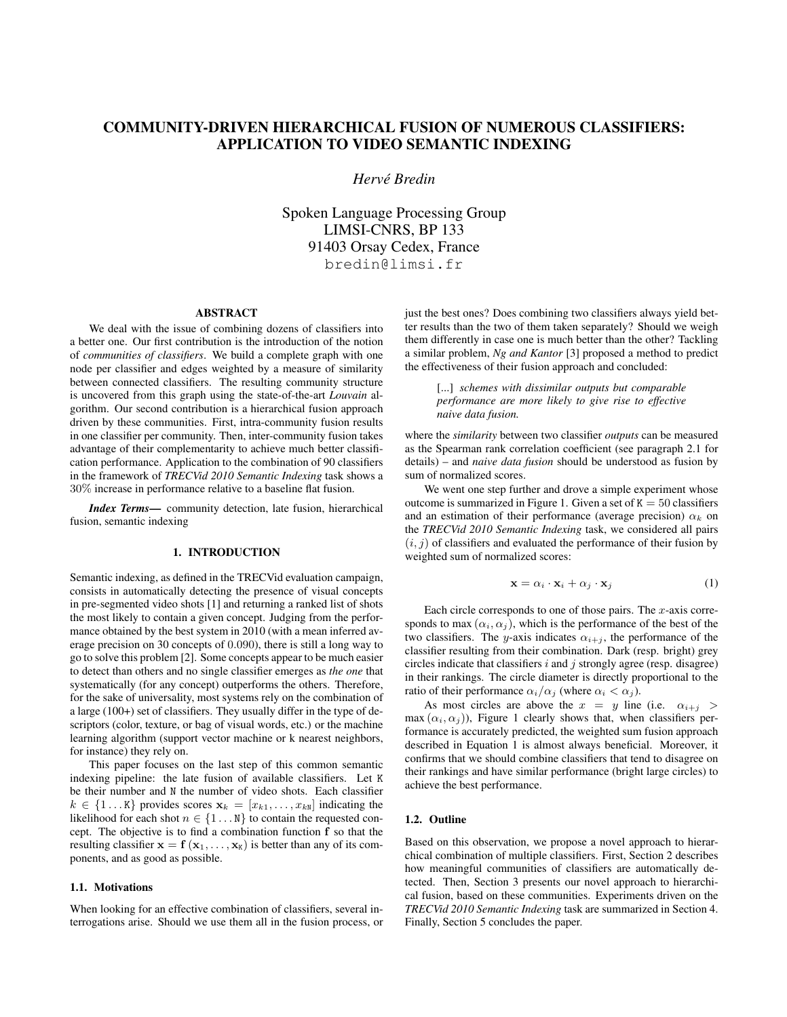# COMMUNITY-DRIVEN HIERARCHICAL FUSION OF NUMEROUS CLASSIFIERS: APPLICATION TO VIDEO SEMANTIC INDEXING

## *Herve Bredin ´*

Spoken Language Processing Group LIMSI-CNRS, BP 133 91403 Orsay Cedex, France bredin@limsi.fr

#### ABSTRACT

We deal with the issue of combining dozens of classifiers into a better one. Our first contribution is the introduction of the notion of *communities of classifiers*. We build a complete graph with one node per classifier and edges weighted by a measure of similarity between connected classifiers. The resulting community structure is uncovered from this graph using the state-of-the-art *Louvain* algorithm. Our second contribution is a hierarchical fusion approach driven by these communities. First, intra-community fusion results in one classifier per community. Then, inter-community fusion takes advantage of their complementarity to achieve much better classification performance. Application to the combination of 90 classifiers in the framework of *TRECVid 2010 Semantic Indexing* task shows a 30% increase in performance relative to a baseline flat fusion.

*Index Terms*— community detection, late fusion, hierarchical fusion, semantic indexing

## 1. INTRODUCTION

Semantic indexing, as defined in the TRECVid evaluation campaign, consists in automatically detecting the presence of visual concepts in pre-segmented video shots [1] and returning a ranked list of shots the most likely to contain a given concept. Judging from the performance obtained by the best system in 2010 (with a mean inferred average precision on 30 concepts of 0.090), there is still a long way to go to solve this problem [2]. Some concepts appear to be much easier to detect than others and no single classifier emerges as *the one* that systematically (for any concept) outperforms the others. Therefore, for the sake of universality, most systems rely on the combination of a large (100+) set of classifiers. They usually differ in the type of descriptors (color, texture, or bag of visual words, etc.) or the machine learning algorithm (support vector machine or k nearest neighbors, for instance) they rely on.

This paper focuses on the last step of this common semantic indexing pipeline: the late fusion of available classifiers. Let K be their number and N the number of video shots. Each classifier  $k \in \{1 \dots K\}$  provides scores  $\mathbf{x}_k = [x_{k1}, \dots, x_{kN}]$  indicating the likelihood for each shot  $n \in \{1 \dots N\}$  to contain the requested concept. The objective is to find a combination function f so that the resulting classifier  $\mathbf{x} = \mathbf{f}(\mathbf{x}_1, \dots, \mathbf{x}_K)$  is better than any of its components, and as good as possible.

## 1.1. Motivations

When looking for an effective combination of classifiers, several interrogations arise. Should we use them all in the fusion process, or just the best ones? Does combining two classifiers always yield better results than the two of them taken separately? Should we weigh them differently in case one is much better than the other? Tackling a similar problem, *Ng and Kantor* [3] proposed a method to predict the effectiveness of their fusion approach and concluded:

[...] *schemes with dissimilar outputs but comparable performance are more likely to give rise to effective naive data fusion.*

where the *similarity* between two classifier *outputs* can be measured as the Spearman rank correlation coefficient (see paragraph 2.1 for details) – and *naive data fusion* should be understood as fusion by sum of normalized scores.

We went one step further and drove a simple experiment whose outcome is summarized in Figure 1. Given a set of  $K = 50$  classifiers and an estimation of their performance (average precision)  $\alpha_k$  on the *TRECVid 2010 Semantic Indexing* task, we considered all pairs  $(i, j)$  of classifiers and evaluated the performance of their fusion by weighted sum of normalized scores:

$$
\mathbf{x} = \alpha_i \cdot \mathbf{x}_i + \alpha_j \cdot \mathbf{x}_j \tag{1}
$$

Each circle corresponds to one of those pairs. The  $x$ -axis corresponds to max  $(\alpha_i, \alpha_j)$ , which is the performance of the best of the two classifiers. The y-axis indicates  $\alpha_{i+j}$ , the performance of the classifier resulting from their combination. Dark (resp. bright) grey circles indicate that classifiers  $i$  and  $j$  strongly agree (resp. disagree) in their rankings. The circle diameter is directly proportional to the ratio of their performance  $\alpha_i/\alpha_j$  (where  $\alpha_i < \alpha_j$ ).

As most circles are above the  $x = y$  line (i.e.  $\alpha_{i+j} >$ max  $(\alpha_i, \alpha_j)$ ), Figure 1 clearly shows that, when classifiers performance is accurately predicted, the weighted sum fusion approach described in Equation 1 is almost always beneficial. Moreover, it confirms that we should combine classifiers that tend to disagree on their rankings and have similar performance (bright large circles) to achieve the best performance.

## 1.2. Outline

Based on this observation, we propose a novel approach to hierarchical combination of multiple classifiers. First, Section 2 describes how meaningful communities of classifiers are automatically detected. Then, Section 3 presents our novel approach to hierarchical fusion, based on these communities. Experiments driven on the *TRECVid 2010 Semantic Indexing* task are summarized in Section 4. Finally, Section 5 concludes the paper.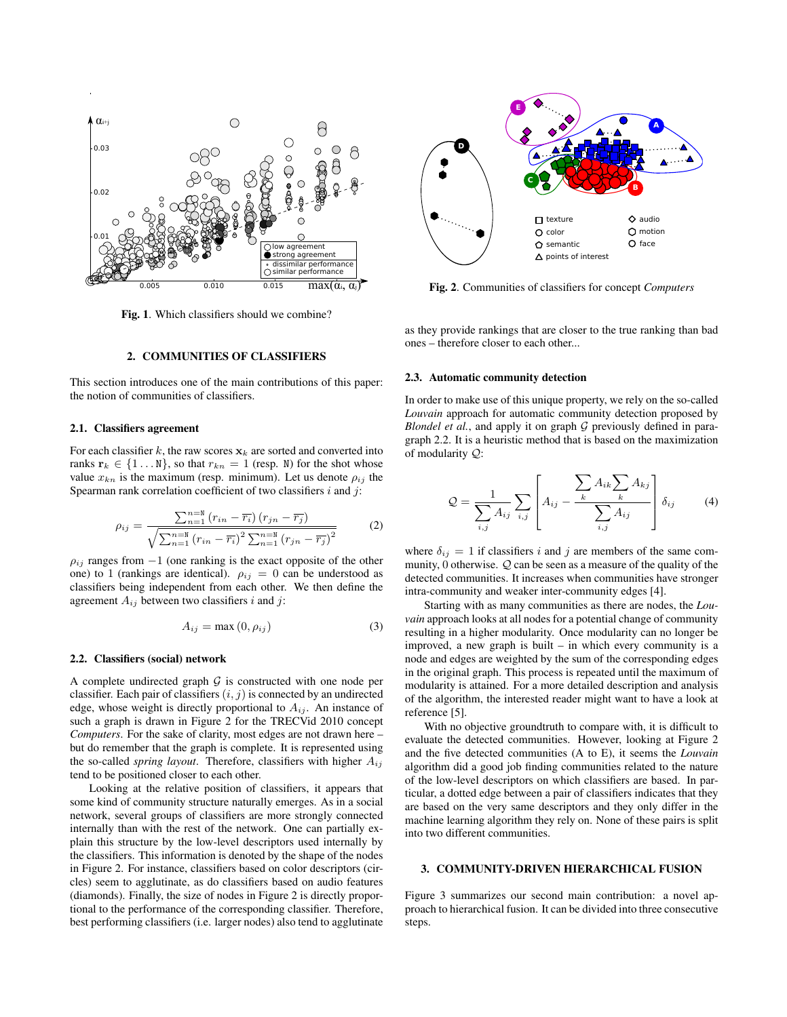

Fig. 1. Which classifiers should we combine?

## 2. COMMUNITIES OF CLASSIFIERS

This section introduces one of the main contributions of this paper: the notion of communities of classifiers.

#### 2.1. Classifiers agreement

For each classifier k, the raw scores  $x_k$  are sorted and converted into ranks  $\mathbf{r}_k \in \{1 \dots N\}$ , so that  $r_{kn} = 1$  (resp. N) for the shot whose value  $x_{kn}$  is the maximum (resp. minimum). Let us denote  $\rho_{ij}$  the Spearman rank correlation coefficient of two classifiers  $i$  and  $j$ :

$$
\rho_{ij} = \frac{\sum_{n=1}^{n=M} (r_{in} - \overline{r_i}) (r_{in} - \overline{r_j})}{\sqrt{\sum_{n=1}^{n=M} (r_{in} - \overline{r_i})^2 \sum_{n=1}^{n=M} (r_{in} - \overline{r_j})^2}}
$$
(2)

 $\rho_{ij}$  ranges from  $-1$  (one ranking is the exact opposite of the other one) to 1 (rankings are identical).  $\rho_{ij} = 0$  can be understood as classifiers being independent from each other. We then define the agreement  $A_{ij}$  between two classifiers i and j:

$$
A_{ij} = \max(0, \rho_{ij})
$$
 (3)

#### 2.2. Classifiers (social) network

A complete undirected graph  $G$  is constructed with one node per classifier. Each pair of classifiers  $(i, j)$  is connected by an undirected edge, whose weight is directly proportional to  $A_{ij}$ . An instance of such a graph is drawn in Figure 2 for the TRECVid 2010 concept *Computers*. For the sake of clarity, most edges are not drawn here – but do remember that the graph is complete. It is represented using the so-called *spring layout*. Therefore, classifiers with higher  $A_{ij}$ tend to be positioned closer to each other.

Looking at the relative position of classifiers, it appears that some kind of community structure naturally emerges. As in a social network, several groups of classifiers are more strongly connected internally than with the rest of the network. One can partially explain this structure by the low-level descriptors used internally by the classifiers. This information is denoted by the shape of the nodes in Figure 2. For instance, classifiers based on color descriptors (circles) seem to agglutinate, as do classifiers based on audio features (diamonds). Finally, the size of nodes in Figure 2 is directly proportional to the performance of the corresponding classifier. Therefore, best performing classifiers (i.e. larger nodes) also tend to agglutinate



Fig. 2. Communities of classifiers for concept *Computers*

as they provide rankings that are closer to the true ranking than bad ones – therefore closer to each other...

#### 2.3. Automatic community detection

In order to make use of this unique property, we rely on the so-called *Louvain* approach for automatic community detection proposed by *Blondel et al.*, and apply it on graph  $G$  previously defined in paragraph 2.2. It is a heuristic method that is based on the maximization of modularity Q:

$$
Q = \frac{1}{\sum_{i,j} A_{ij}} \sum_{i,j} \left[ A_{ij} - \frac{\sum_{k} A_{ik} \sum_{k} A_{kj}}{\sum_{i,j} A_{ij}} \right] \delta_{ij} \qquad (4)
$$

where  $\delta_{ij} = 1$  if classifiers i and j are members of the same community,  $0$  otherwise.  $Q$  can be seen as a measure of the quality of the detected communities. It increases when communities have stronger intra-community and weaker inter-community edges [4].

Starting with as many communities as there are nodes, the *Louvain* approach looks at all nodes for a potential change of community resulting in a higher modularity. Once modularity can no longer be improved, a new graph is built – in which every community is a node and edges are weighted by the sum of the corresponding edges in the original graph. This process is repeated until the maximum of modularity is attained. For a more detailed description and analysis of the algorithm, the interested reader might want to have a look at reference [5].

With no objective groundtruth to compare with, it is difficult to evaluate the detected communities. However, looking at Figure 2 and the five detected communities (A to E), it seems the *Louvain* algorithm did a good job finding communities related to the nature of the low-level descriptors on which classifiers are based. In particular, a dotted edge between a pair of classifiers indicates that they are based on the very same descriptors and they only differ in the machine learning algorithm they rely on. None of these pairs is split into two different communities.

## 3. COMMUNITY-DRIVEN HIERARCHICAL FUSION

Figure 3 summarizes our second main contribution: a novel approach to hierarchical fusion. It can be divided into three consecutive steps.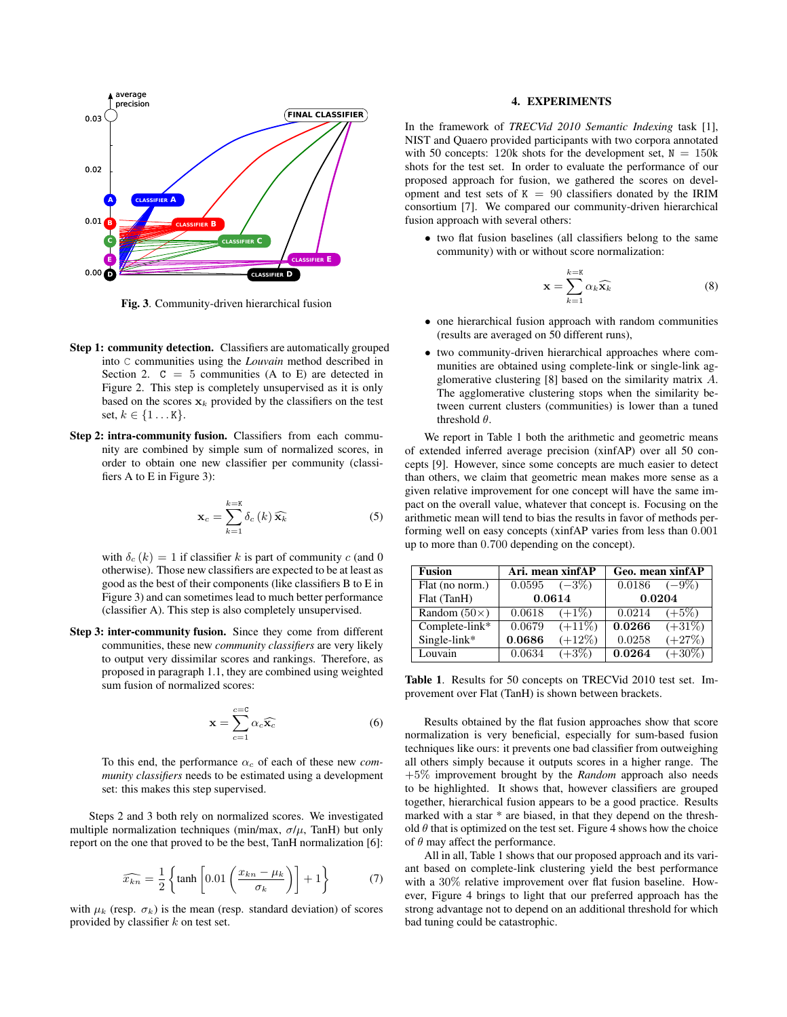

Fig. 3. Community-driven hierarchical fusion

- Step 1: community detection. Classifiers are automatically grouped into C communities using the *Louvain* method described in Section 2.  $C = 5$  communities (A to E) are detected in Figure 2. This step is completely unsupervised as it is only based on the scores  $x_k$  provided by the classifiers on the test set,  $k \in \{1...K\}$ .
- Step 2: intra-community fusion. Classifiers from each community are combined by simple sum of normalized scores, in order to obtain one new classifier per community (classifiers A to E in Figure 3):

$$
\mathbf{x}_{c} = \sum_{k=1}^{k=K} \delta_{c} \left( k \right) \widehat{\mathbf{x}_{k}}
$$
 (5)

with  $\delta_c(k) = 1$  if classifier k is part of community c (and 0) otherwise). Those new classifiers are expected to be at least as good as the best of their components (like classifiers B to E in Figure 3) and can sometimes lead to much better performance (classifier A). This step is also completely unsupervised.

Step 3: inter-community fusion. Since they come from different communities, these new *community classifiers* are very likely to output very dissimilar scores and rankings. Therefore, as proposed in paragraph 1.1, they are combined using weighted sum fusion of normalized scores:

$$
\mathbf{x} = \sum_{c=1}^{c=0} \alpha_c \widehat{\mathbf{x}_c} \tag{6}
$$

To this end, the performance  $\alpha_c$  of each of these new *community classifiers* needs to be estimated using a development set: this makes this step supervised.

Steps 2 and 3 both rely on normalized scores. We investigated multiple normalization techniques (min/max,  $\sigma/\mu$ , TanH) but only report on the one that proved to be the best, TanH normalization [6]:

$$
\widehat{x_{kn}} = \frac{1}{2} \left\{ \tanh \left[ 0.01 \left( \frac{x_{kn} - \mu_k}{\sigma_k} \right) \right] + 1 \right\} \tag{7}
$$

with  $\mu_k$  (resp.  $\sigma_k$ ) is the mean (resp. standard deviation) of scores provided by classifier  $k$  on test set.

### 4. EXPERIMENTS

In the framework of *TRECVid 2010 Semantic Indexing* task [1], NIST and Quaero provided participants with two corpora annotated with 50 concepts: 120k shots for the development set,  $N = 150k$ shots for the test set. In order to evaluate the performance of our proposed approach for fusion, we gathered the scores on development and test sets of  $K = 90$  classifiers donated by the IRIM consortium [7]. We compared our community-driven hierarchical fusion approach with several others:

• two flat fusion baselines (all classifiers belong to the same community) with or without score normalization:

$$
\mathbf{x} = \sum_{k=1}^{k=K} \alpha_k \widehat{\mathbf{x}_k} \tag{8}
$$

- one hierarchical fusion approach with random communities (results are averaged on 50 different runs),
- two community-driven hierarchical approaches where communities are obtained using complete-link or single-link agglomerative clustering [8] based on the similarity matrix A. The agglomerative clustering stops when the similarity between current clusters (communities) is lower than a tuned threshold  $\theta$ .

We report in Table 1 both the arithmetic and geometric means of extended inferred average precision (xinfAP) over all 50 concepts [9]. However, since some concepts are much easier to detect than others, we claim that geometric mean makes more sense as a given relative improvement for one concept will have the same impact on the overall value, whatever that concept is. Focusing on the arithmetic mean will tend to bias the results in favor of methods performing well on easy concepts (xinfAP varies from less than 0.001 up to more than 0.700 depending on the concept).

| <b>Fusion</b>       | Ari. mean xinfAP      |           | Geo. mean xinfAP  |           |
|---------------------|-----------------------|-----------|-------------------|-----------|
| Flat (no norm.)     | $0.0595 \quad (-3\%)$ |           | $0.0186$ $(-9\%)$ |           |
| Flat (TanH)         | 0.0614                |           | 0.0204            |           |
| Random $(50\times)$ | 0.0618                | $(+1\%)$  | 0.0214            | $(+5\%)$  |
| Complete-link*      | 0.0679                | $(+11\%)$ | 0.0266            | $(+31\%)$ |
| Single-link*        | 0.0686                | $(+12%)$  | 0.0258            | $(+27%)$  |
| Louvain             | 0.0634                | $(+3%)$   | 0.0264            | $(+30\%)$ |

Table 1. Results for 50 concepts on TRECVid 2010 test set. Improvement over Flat (TanH) is shown between brackets.

Results obtained by the flat fusion approaches show that score normalization is very beneficial, especially for sum-based fusion techniques like ours: it prevents one bad classifier from outweighing all others simply because it outputs scores in a higher range. The +5% improvement brought by the *Random* approach also needs to be highlighted. It shows that, however classifiers are grouped together, hierarchical fusion appears to be a good practice. Results marked with a star \* are biased, in that they depend on the threshold  $\theta$  that is optimized on the test set. Figure 4 shows how the choice of  $\theta$  may affect the performance.

All in all, Table 1 shows that our proposed approach and its variant based on complete-link clustering yield the best performance with a 30% relative improvement over flat fusion baseline. However, Figure 4 brings to light that our preferred approach has the strong advantage not to depend on an additional threshold for which bad tuning could be catastrophic.